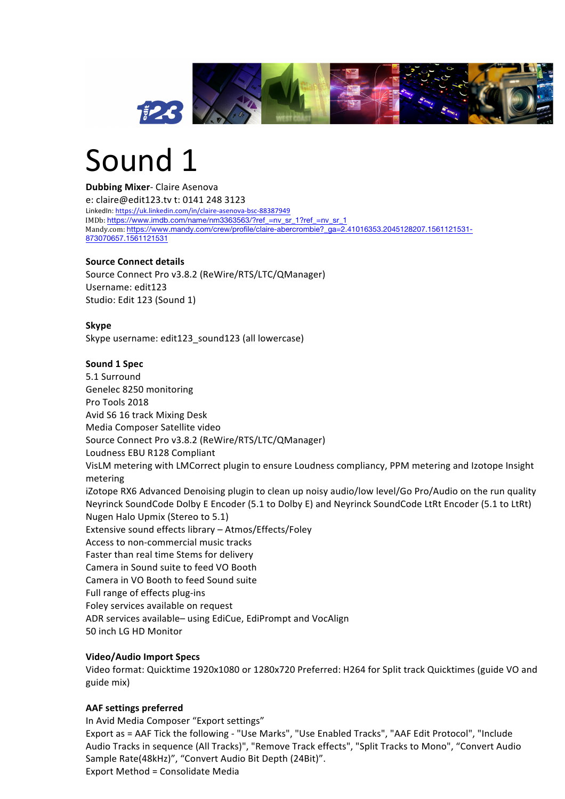

# Sound 1

**Dubbing Mixer- Claire Asenova** e: claire@edit123.tv t: 0141 248 3123 LinkedIn: https://uk.linkedin.com/in/claire-asenova-bsc-88387949 IMDb: https://www.imdb.com/name/nm3363563/?ref\_=nv\_sr\_1?ref\_=nv\_sr\_1 Mandy.com: https://www.mandy.com/crew/profile/claire-abercrombie?\_ga=2.41016353.2045128207.1561121531-873070657.1561121531

#### **Source Connect details**

Source Connect Pro v3.8.2 (ReWire/RTS/LTC/QManager) Username: edit123 Studio: Edit 123 (Sound 1)

#### **Skype**

Skype username: edit123 sound123 (all lowercase)

### **Sound 1 Spec**

5.1 Surround Genelec 8250 monitoring Pro Tools 2018 Avid S6 16 track Mixing Desk Media Composer Satellite video Source Connect Pro v3.8.2 (ReWire/RTS/LTC/QManager) Loudness EBU R128 Compliant VisLM metering with LMCorrect plugin to ensure Loudness compliancy, PPM metering and Izotope Insight metering iZotope RX6 Advanced Denoising plugin to clean up noisy audio/low level/Go Pro/Audio on the run quality Neyrinck SoundCode Dolby E Encoder (5.1 to Dolby E) and Neyrinck SoundCode LtRt Encoder (5.1 to LtRt) Nugen Halo Upmix (Stereo to 5.1) Extensive sound effects library  $-$  Atmos/Effects/Foley Access to non-commercial music tracks Faster than real time Stems for delivery Camera in Sound suite to feed VO Booth Camera in VO Booth to feed Sound suite Full range of effects plug-ins Foley services available on request ADR services available– using EdiCue, EdiPrompt and VocAlign 50 inch LG HD Monitor

# **Video/Audio Import Specs**

Video format: Quicktime 1920x1080 or 1280x720 Preferred: H264 for Split track Quicktimes (guide VO and guide mix)

# **AAF settings preferred**

In Avid Media Composer "Export settings" Export as = AAF Tick the following - "Use Marks", "Use Enabled Tracks", "AAF Edit Protocol", "Include Audio Tracks in sequence (All Tracks)", "Remove Track effects", "Split Tracks to Mono", "Convert Audio Sample Rate(48kHz)", "Convert Audio Bit Depth (24Bit)". Export Method = Consolidate Media